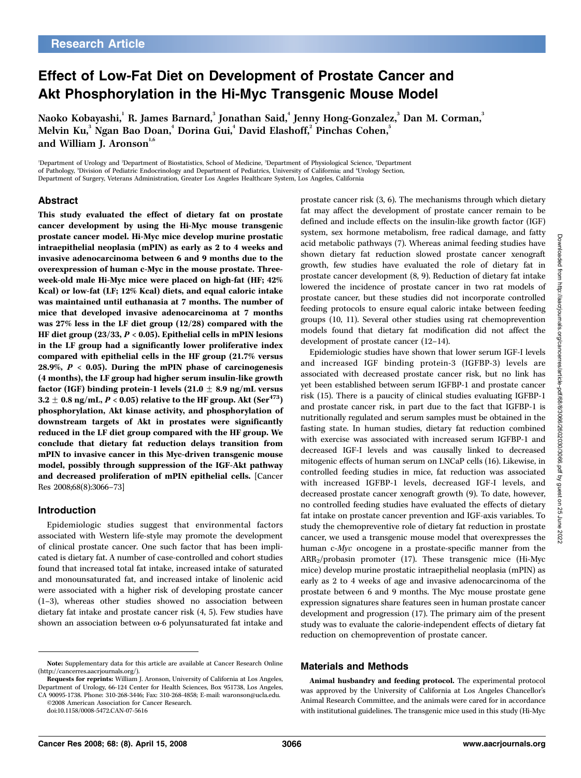# Effect of Low-Fat Diet on Development of Prostate Cancer and Akt Phosphorylation in the Hi-Myc Transgenic Mouse Model

Naoko Kobayashi,<sup>1</sup> R. James Barnard,<sup>3</sup> Jonathan Said,<sup>4</sup> Jenny Hong-Gonzalez,<sup>3</sup> Dan M. Corman,<sup>3</sup> Melvin Ku, $^3$  Ngan Bao Doan, $^4$  Dorina Gui, $^4$  David Elashoff, $^2$  Pinchas Cohen, $^5$ and William J. Aronson $1.6$ 

'Department of Urology and <sup>2</sup>Department of Biostatistics, School of Medicine, <sup>3</sup>Department of Physiological Science, <sup>4</sup>Department of Pathology, <sup>5</sup>Division of Pediatric Endocrinology and Department of Pediatrics, University of California; and <sup>6</sup>Urology Section, Department of Surgery, Veterans Administration, Greater Los Angeles Healthcare System, Los Angeles, California

#### Abstract

This study evaluated the effect of dietary fat on prostate cancer development by using the Hi-Myc mouse transgenic prostate cancer model. Hi-Myc mice develop murine prostatic intraepithelial neoplasia (mPIN) as early as 2 to 4 weeks and invasive adenocarcinoma between 6 and 9 months due to the overexpression of human c-Myc in the mouse prostate. Threeweek-old male Hi-Myc mice were placed on high-fat (HF; 42% Kcal) or low-fat (LF; 12% Kcal) diets, and equal caloric intake was maintained until euthanasia at 7 months. The number of mice that developed invasive adenocarcinoma at 7 months was 27% less in the LF diet group (12/28) compared with the HF diet group  $(23/33, P < 0.05)$ . Epithelial cells in mPIN lesions in the LF group had a significantly lower proliferative index compared with epithelial cells in the HF group (21.7% versus 28.9%,  $P < 0.05$ ). During the mPIN phase of carcinogenesis (4 months), the LF group had higher serum insulin-like growth factor (IGF) binding protein-1 levels (21.0  $\pm$  8.9 ng/mL versus  $3.2 \pm 0.8$  ng/mL, P < 0.05) relative to the HF group. Akt (Ser<sup>473</sup>) phosphorylation, Akt kinase activity, and phosphorylation of downstream targets of Akt in prostates were significantly reduced in the LF diet group compared with the HF group. We conclude that dietary fat reduction delays transition from mPIN to invasive cancer in this Myc-driven transgenic mouse model, possibly through suppression of the IGF-Akt pathway and decreased proliferation of mPIN epithelial cells. [Cancer Res 2008;68(8):3066–73]

#### Introduction

Epidemiologic studies suggest that environmental factors associated with Western life-style may promote the development of clinical prostate cancer. One such factor that has been implicated is dietary fat. A number of case-controlled and cohort studies found that increased total fat intake, increased intake of saturated and monounsaturated fat, and increased intake of linolenic acid were associated with a higher risk of developing prostate cancer (1–3), whereas other studies showed no association between dietary fat intake and prostate cancer risk (4, 5). Few studies have shown an association between  $\omega$ -6 polyunsaturated fat intake and

©2008 American Association for Cancer Research.

doi:10.1158/0008-5472.CAN-07-5616

prostate cancer risk (3, 6). The mechanisms through which dietary fat may affect the development of prostate cancer remain to be defined and include effects on the insulin-like growth factor (IGF) system, sex hormone metabolism, free radical damage, and fatty acid metabolic pathways (7). Whereas animal feeding studies have shown dietary fat reduction slowed prostate cancer xenograft growth, few studies have evaluated the role of dietary fat in prostate cancer development (8, 9). Reduction of dietary fat intake lowered the incidence of prostate cancer in two rat models of prostate cancer, but these studies did not incorporate controlled feeding protocols to ensure equal caloric intake between feeding groups (10, 11). Several other studies using rat chemoprevention models found that dietary fat modification did not affect the development of prostate cancer (12–14).

Epidemiologic studies have shown that lower serum IGF-I levels and increased IGF binding protein-3 (IGFBP-3) levels are associated with decreased prostate cancer risk, but no link has yet been established between serum IGFBP-1 and prostate cancer risk (15). There is a paucity of clinical studies evaluating IGFBP-1 and prostate cancer risk, in part due to the fact that IGFBP-1 is nutritionally regulated and serum samples must be obtained in the fasting state. In human studies, dietary fat reduction combined with exercise was associated with increased serum IGFBP-1 and decreased IGF-I levels and was causally linked to decreased mitogenic effects of human serum on LNCaP cells (16). Likewise, in controlled feeding studies in mice, fat reduction was associated with increased IGFBP-1 levels, decreased IGF-I levels, and decreased prostate cancer xenograft growth (9). To date, however, no controlled feeding studies have evaluated the effects of dietary fat intake on prostate cancer prevention and IGF-axis variables. To study the chemopreventive role of dietary fat reduction in prostate cancer, we used a transgenic mouse model that overexpresses the human c-Myc oncogene in a prostate-specific manner from the ARR2/probasin promoter (17). These transgenic mice (Hi-Myc mice) develop murine prostatic intraepithelial neoplasia (mPIN) as early as 2 to 4 weeks of age and invasive adenocarcinoma of the prostate between 6 and 9 months. The Myc mouse prostate gene expression signatures share features seen in human prostate cancer development and progression (17). The primary aim of the present study was to evaluate the calorie-independent effects of dietary fat reduction on chemoprevention of prostate cancer.

#### Materials and Methods

Animal husbandry and feeding protocol. The experimental protocol was approved by the University of California at Los Angeles Chancellor's Animal Research Committee, and the animals were cared for in accordance with institutional guidelines. The transgenic mice used in this study (Hi-Myc Downloaded

Note: Supplementary data for this article are available at Cancer Research Online (http://cancerres.aacrjournals.org/).

Requests for reprints: William J. Aronson, University of California at Los Angeles, Department of Urology, 66-124 Center for Health Sciences, Box 951738, Los Angeles, CA 90095-1738. Phone: 310-268-3446; Fax: 310-268-4858; E-mail: waronson@ucla.edu.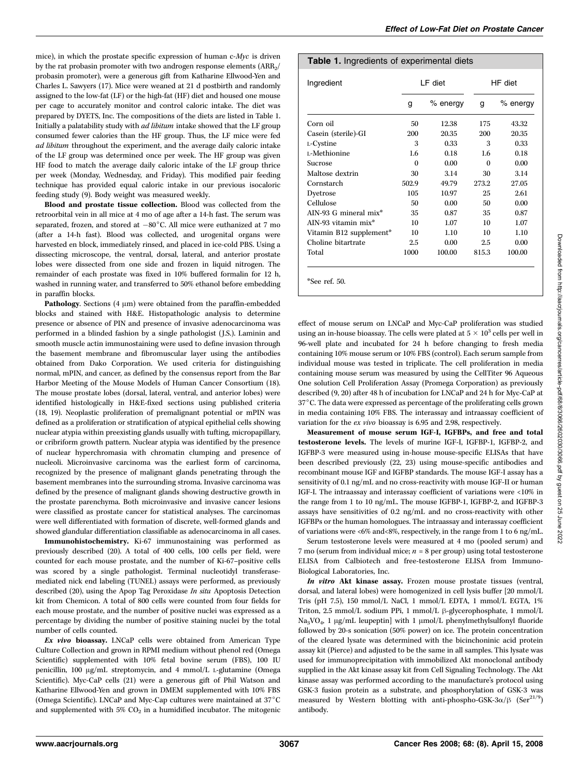mice), in which the prostate specific expression of human c-Myc is driven by the rat probasin promoter with two androgen response elements  $(ARR<sub>2</sub>/$ probasin promoter), were a generous gift from Katharine Ellwood-Yen and Charles L. Sawyers (17). Mice were weaned at 21 d postbirth and randomly assigned to the low-fat (LF) or the high-fat (HF) diet and housed one mouse per cage to accurately monitor and control caloric intake. The diet was prepared by DYETS, Inc. The compositions of the diets are listed in Table 1. Initially a palatability study with ad libitum intake showed that the LF group consumed fewer calories than the HF group. Thus, the LF mice were fed ad libitum throughout the experiment, and the average daily caloric intake of the LF group was determined once per week. The HF group was given HF food to match the average daily caloric intake of the LF group thrice per week (Monday, Wednesday, and Friday). This modified pair feeding technique has provided equal caloric intake in our previous isocaloric feeding study (9). Body weight was measured weekly.

Blood and prostate tissue collection. Blood was collected from the retroorbital vein in all mice at 4 mo of age after a 14-h fast. The serum was separated, frozen, and stored at  $-80^{\circ}$ C. All mice were euthanized at 7 mo (after a 14-h fast). Blood was collected, and urogenital organs were harvested en block, immediately rinsed, and placed in ice-cold PBS. Using a dissecting microscope, the ventral, dorsal, lateral, and anterior prostate lobes were dissected from one side and frozen in liquid nitrogen. The remainder of each prostate was fixed in 10% buffered formalin for 12 h, washed in running water, and transferred to 50% ethanol before embedding in paraffin blocks.

Pathology. Sections  $(4 \mu m)$  were obtained from the paraffin-embedded blocks and stained with H&E. Histopathologic analysis to determine presence or absence of PIN and presence of invasive adenocarcinoma was performed in a blinded fashion by a single pathologist (J.S.). Laminin and smooth muscle actin immunostaining were used to define invasion through the basement membrane and fibromuscular layer using the antibodies obtained from Dako Corporation. We used criteria for distinguishing normal, mPIN, and cancer, as defined by the consensus report from the Bar Harbor Meeting of the Mouse Models of Human Cancer Consortium (18). The mouse prostate lobes (dorsal, lateral, ventral, and anterior lobes) were identified histologically in H&E-fixed sections using published criteria (18, 19). Neoplastic proliferation of premalignant potential or mPIN was defined as a proliferation or stratification of atypical epithelial cells showing nuclear atypia within preexisting glands usually with tufting, micropapillary, or cribriform growth pattern. Nuclear atypia was identified by the presence of nuclear hyperchromasia with chromatin clumping and presence of nucleoli. Microinvasive carcinoma was the earliest form of carcinoma, recognized by the presence of malignant glands penetrating through the basement membranes into the surrounding stroma. Invasive carcinoma was defined by the presence of malignant glands showing destructive growth in the prostate parenchyma. Both microinvasive and invasive cancer lesions were classified as prostate cancer for statistical analyses. The carcinomas were well differentiated with formation of discrete, well-formed glands and showed glandular differentiation classifiable as adenocarcinoma in all cases.

Immunohistochemistry. Ki-67 immunostaining was performed as previously described (20). A total of 400 cells, 100 cells per field, were counted for each mouse prostate, and the number of Ki-67–positive cells was scored by a single pathologist. Terminal nucleotidyl transferasemediated nick end labeling (TUNEL) assays were performed, as previously described (20), using the Apop Tag Peroxidase In situ Apoptosis Detection kit from Chemicon. A total of 800 cells were counted from four fields for each mouse prostate, and the number of positive nuclei was expressed as a percentage by dividing the number of positive staining nuclei by the total number of cells counted.

 $Ex$  vivo bioassay. LNCaP cells were obtained from American Type Culture Collection and grown in RPMI medium without phenol red (Omega Scientific) supplemented with 10% fetal bovine serum (FBS), 100 IU penicillin, 100 µg/mL streptomycin, and 4 mmol/L L-glutamine (Omega Scientific). Myc-CaP cells (21) were a generous gift of Phil Watson and Katharine Ellwood-Yen and grown in DMEM supplemented with 10% FBS (Omega Scientific). LNCaP and Myc-Cap cultures were maintained at  $37^{\circ}$ C and supplemented with  $5\%$  CO<sub>2</sub> in a humidified incubator. The mitogenic

### Table 1. Ingredients of experimental diets

| Ingredient              | LF diet  |            | HF diet |            |
|-------------------------|----------|------------|---------|------------|
|                         | g        | $%$ energy | g       | $%$ energy |
| Corn oil                | 50       | 12.38      | 175     | 43.32      |
| Casein (sterile)-GI     | 200      | 20.35      | 200     | 20.35      |
| L-Cystine               | 3        | 0.33       | 3       | 0.33       |
| L-Methionine            | 1.6      | 0.18       | 1.6     | 0.18       |
| Sucrose                 | $\Omega$ | 0.00       | 0       | 0.00       |
| Maltose dextrin         | 30       | 3.14       | 30      | 3.14       |
| Cornstarch              | 502.9    | 49.79      | 273.2   | 27.05      |
| Dyetrose                | 105      | 10.97      | 25      | 2.61       |
| Cellulose               | 50       | 0.00       | 50      | 0.00       |
| AIN-93 G mineral mix*   | 35       | 0.87       | 35      | 0.87       |
| AIN-93 vitamin mix*     | 10       | 1.07       | 10      | 1.07       |
| Vitamin B12 supplement* | 10       | 1.10       | 10      | 1.10       |
| Choline bitartrate      | 2.5      | 0.00       | 2.5     | 0.00       |
| Total                   | 1000     | 100.00     | 815.3   | 100.00     |

effect of mouse serum on LNCaP and Myc-CaP proliferation was studied using an in-house bioassay. The cells were plated at 5  $\times$   $10^3$  cells per well in 96-well plate and incubated for 24 h before changing to fresh media containing 10% mouse serum or 10% FBS (control). Each serum sample from individual mouse was tested in triplicate. The cell proliferation in media containing mouse serum was measured by using the CellTiter 96 Aqueous One solution Cell Proliferation Assay (Promega Corporation) as previously described (9, 20) after 48 h of incubation for LNCaP and 24 h for Myc-CaP at 37°C. The data were expressed as percentage of the proliferating cells grown in media containing 10% FBS. The interassay and intraassay coefficient of variation for the ex vivo bioassay is 6.95 and 2.98, respectively.

Measurement of mouse serum IGF-I, IGFBPs, and free and total testosterone levels. The levels of murine IGF-I, IGFBP-1, IGFBP-2, and IGFBP-3 were measured using in-house mouse-specific ELISAs that have been described previously (22, 23) using mouse-specific antibodies and recombinant mouse IGF and IGFBP standards. The mouse IGF-I assay has a sensitivity of 0.1 ng/mL and no cross-reactivity with mouse IGF-II or human IGF-I. The intraassay and interassay coefficient of variations were <10% in the range from 1 to 10 ng/mL. The mouse IGFBP-1, IGFBP-2, and IGFBP-3 assays have sensitivities of 0.2 ng/mL and no cross-reactivity with other IGFBPs or the human homologues. The intraassay and interassay coefficient of variations were <6% and<8%, respectively, in the range from 1 to 6 ng/mL.

Serum testosterone levels were measured at 4 mo (pooled serum) and 7 mo (serum from individual mice;  $n = 8$  per group) using total testosterone ELISA from Calbiotech and free-testosterone ELISA from Immuno-Biological Laboratories, Inc.

In vitro Akt kinase assay. Frozen mouse prostate tissues (ventral, dorsal, and lateral lobes) were homogenized in cell lysis buffer [20 mmol/L Tris (pH 7.5), 150 mmol/L NaCl, 1 mmol/L EDTA, 1 mmol/L EGTA, 1% Triton, 2.5 mmol/L sodium PPi, 1 mmol/L  $\beta$ -glycerophosphate, 1 mmol/L Na<sub>3</sub>VO<sub>4</sub>, 1  $\mu$ g/mL leupeptin] with 1  $\mu$ mol/L phenylmethylsulfonyl fluoride followed by 20-s sonication (50% power) on ice. The protein concentration of the cleared lysate was determined with the bicinchoninic acid protein assay kit (Pierce) and adjusted to be the same in all samples. This lysate was used for immunoprecipitation with immobilized Akt monoclonal antibody supplied in the Akt kinase assay kit from Cell Signaling Technology. The Akt kinase assay was performed according to the manufacture's protocol using GSK-3 fusion protein as a substrate, and phosphorylation of GSK-3 was measured by Western blotting with anti-phospho-GSK-3 $\alpha/\beta$  (Ser<sup>21/9</sup>) antibody.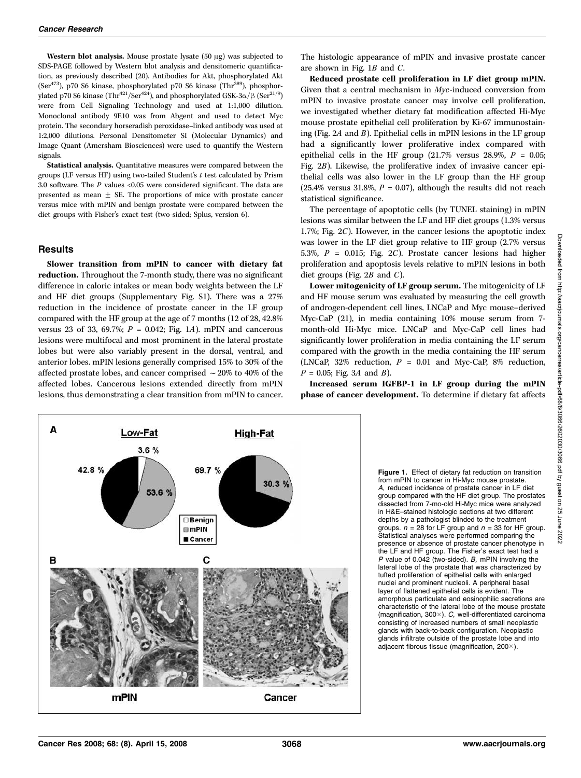Western blot analysis. Mouse prostate lysate  $(50 \mu g)$  was subjected to SDS-PAGE followed by Western blot analysis and densitomeric quantification, as previously described (20). Antibodies for Akt, phosphorylated Akt (Ser<sup>473</sup>), p70 S6 kinase, phosphorylated p70 S6 kinase (Thr<sup>389</sup>), phosphorylated p70 S6 kinase (Thr<sup>421</sup>/Ser<sup>424</sup>), and phosphorylated GSK-3 $\alpha$ / $\beta$  (Ser<sup>21/9</sup>) were from Cell Signaling Technology and used at 1:1,000 dilution. Monoclonal antibody 9E10 was from Abgent and used to detect Myc protein. The secondary horseradish peroxidase–linked antibody was used at 1:2,000 dilutions. Personal Densitometer SI (Molecular Dynamics) and Image Quant (Amersham Biosciences) were used to quantify the Western signals.

Statistical analysis. Quantitative measures were compared between the groups (LF versus HF) using two-tailed Student's  $t$  test calculated by Prism 3.0 software. The  $P$  values <0.05 were considered significant. The data are presented as mean  $\pm$  SE. The proportions of mice with prostate cancer versus mice with mPIN and benign prostate were compared between the diet groups with Fisher's exact test (two-sided; Splus, version 6).

### **Results**

Slower transition from mPIN to cancer with dietary fat reduction. Throughout the 7-month study, there was no significant difference in caloric intakes or mean body weights between the LF and HF diet groups (Supplementary Fig. S1). There was a 27% reduction in the incidence of prostate cancer in the LF group compared with the HF group at the age of 7 months (12 of 28, 42.8% versus 23 of 33, 69.7%;  $P = 0.042$ ; Fig. 1A). mPIN and cancerous lesions were multifocal and most prominent in the lateral prostate lobes but were also variably present in the dorsal, ventral, and anterior lobes. mPIN lesions generally comprised 15% to 30% of the affected prostate lobes, and cancer comprised  $\sim$  20% to 40% of the affected lobes. Cancerous lesions extended directly from mPIN lesions, thus demonstrating a clear transition from mPIN to cancer.

The histologic appearance of mPIN and invasive prostate cancer are shown in Fig. 1B and C.

Reduced prostate cell proliferation in LF diet group mPIN. Given that a central mechanism in Myc-induced conversion from mPIN to invasive prostate cancer may involve cell proliferation, we investigated whether dietary fat modification affected Hi-Myc mouse prostate epithelial cell proliferation by Ki-67 immunostaining (Fig. 2A and B). Epithelial cells in mPIN lesions in the LF group had a significantly lower proliferative index compared with epithelial cells in the HF group  $(21.7\%$  versus 28.9%,  $P = 0.05$ ; Fig. 2B). Likewise, the proliferative index of invasive cancer epithelial cells was also lower in the LF group than the HF group (25.4% versus 31.8%,  $P = 0.07$ ), although the results did not reach statistical significance.

The percentage of apoptotic cells (by TUNEL staining) in mPIN lesions was similar between the LF and HF diet groups (1.3% versus 1.7%; Fig. 2C). However, in the cancer lesions the apoptotic index was lower in the LF diet group relative to HF group (2.7% versus 5.3%,  $P = 0.015$ ; Fig. 2C). Prostate cancer lesions had higher proliferation and apoptosis levels relative to mPIN lesions in both diet groups (Fig.  $2B$  and C).

Lower mitogenicity of LF group serum. The mitogenicity of LF and HF mouse serum was evaluated by measuring the cell growth of androgen-dependent cell lines, LNCaP and Myc mouse–derived Myc-CaP (21), in media containing 10% mouse serum from 7 month-old Hi-Myc mice. LNCaP and Myc-CaP cell lines had significantly lower proliferation in media containing the LF serum compared with the growth in the media containing the HF serum (LNCaP, 32% reduction,  $P = 0.01$  and Myc-CaP, 8% reduction,  $P = 0.05$ ; Fig. 3A and B).

Increased serum IGFBP-1 in LF group during the mPIN phase of cancer development. To determine if dietary fat affects



Figure 1. Effect of dietary fat reduction on transition from mPIN to cancer in Hi-Myc mouse prostate. A, reduced incidence of prostate cancer in LF diet group compared with the HF diet group. The prostates dissected from 7-mo-old Hi-Myc mice were analyzed in H&E–stained histologic sections at two different depths by a pathologist blinded to the treatment groups.  $n = 28$  for LF group and  $n = 33$  for HF group. Statistical analyses were performed comparing the presence or absence of prostate cancer phenotype in the LF and HF group. The Fisher's exact test had a P value of 0.042 (two-sided). B, mPIN involving the lateral lobe of the prostate that was characterized by tufted proliferation of epithelial cells with enlarged nuclei and prominent nucleoli. A peripheral basal layer of flattened epithelial cells is evident. The amorphous particulate and eosinophilic secretions are characteristic of the lateral lobe of the mouse prostate (magnification,  $300\times$ ). C, well-differentiated carcinoma consisting of increased numbers of small neoplastic glands with back-to-back configuration. Neoplastic glands infiltrate outside of the prostate lobe and into adjacent fibrous tissue (magnification, 200 $\times$ ).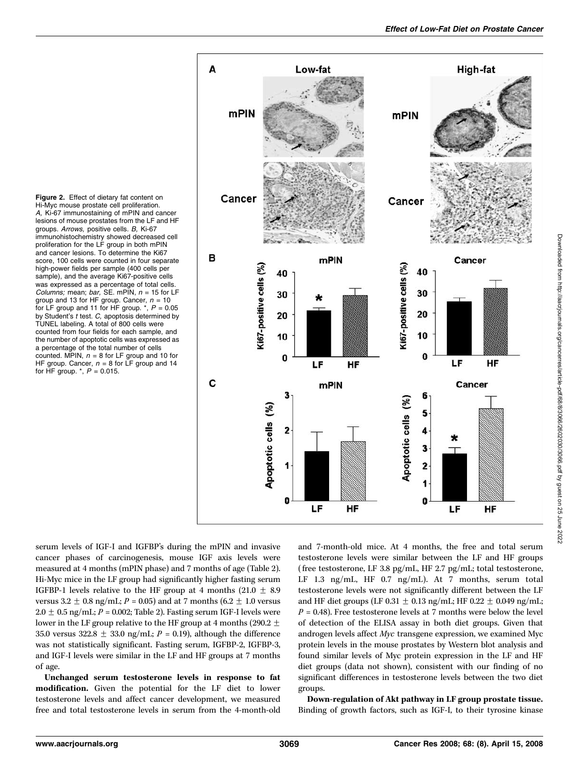Figure 2. Effect of dietary fat content on Hi-Myc mouse prostate cell proliferation. A, Ki-67 immunostaining of mPIN and cancer lesions of mouse prostates from the LF and HF groups. Arrows, positive cells. B, Ki-67 immunohistochemistry showed decreased cell proliferation for the LF group in both mPIN and cancer lesions. To determine the Ki67 score, 100 cells were counted in four separate high-power fields per sample (400 cells per sample), and the average Ki67-positive cells was expressed as a percentage of total cells. Columns; mean; bar, SE. mPIN,  $n = 15$  for LF group and 13 for HF group. Cancer,  $n = 10$ for LF group and 11 for HF group.  $*$ ,  $P = 0.05$ by Student's t test. C, apoptosis determined by TUNEL labeling. A total of 800 cells were counted from four fields for each sample, and the number of apoptotic cells was expressed as a percentage of the total number of cells counted. MPIN,  $n = 8$  for LF group and 10 for HF group. Cancer,  $n = 8$  for LF group and 14 for HF group.  $*$ ,  $P = 0.015$ .



serum levels of IGF-I and IGFBP's during the mPIN and invasive cancer phases of carcinogenesis, mouse IGF axis levels were measured at 4 months (mPIN phase) and 7 months of age (Table 2). Hi-Myc mice in the LF group had significantly higher fasting serum IGFBP-1 levels relative to the HF group at 4 months  $(21.0 \pm 8.9)$ versus  $3.2 \pm 0.8$  ng/mL; P = 0.05) and at 7 months (6.2  $\pm$  1.0 versus  $2.0 \pm 0.5$  ng/mL;  $P = 0.002$ ; Table 2). Fasting serum IGF-I levels were lower in the LF group relative to the HF group at 4 months (290.2  $\pm$ 35.0 versus 322.8  $\pm$  33.0 ng/mL; P = 0.19), although the difference was not statistically significant. Fasting serum, IGFBP-2, IGFBP-3, and IGF-I levels were similar in the LF and HF groups at 7 months of age.

Unchanged serum testosterone levels in response to fat modification. Given the potential for the LF diet to lower testosterone levels and affect cancer development, we measured free and total testosterone levels in serum from the 4-month-old and 7-month-old mice. At 4 months, the free and total serum testosterone levels were similar between the LF and HF groups (free testosterone, LF 3.8 pg/mL, HF 2.7 pg/mL; total testosterone, LF 1.3 ng/mL, HF 0.7 ng/mL). At 7 months, serum total testosterone levels were not significantly different between the LF and HF diet groups (LF 0.31  $\pm$  0.13 ng/mL; HF 0.22  $\pm$  0.049 ng/mL;  $P = 0.48$ ). Free testosterone levels at 7 months were below the level of detection of the ELISA assay in both diet groups. Given that androgen levels affect Myc transgene expression, we examined Myc protein levels in the mouse prostates by Western blot analysis and found similar levels of Myc protein expression in the LF and HF diet groups (data not shown), consistent with our finding of no significant differences in testosterone levels between the two diet groups.

Down-regulation of Akt pathway in LF group prostate tissue. Binding of growth factors, such as IGF-I, to their tyrosine kinase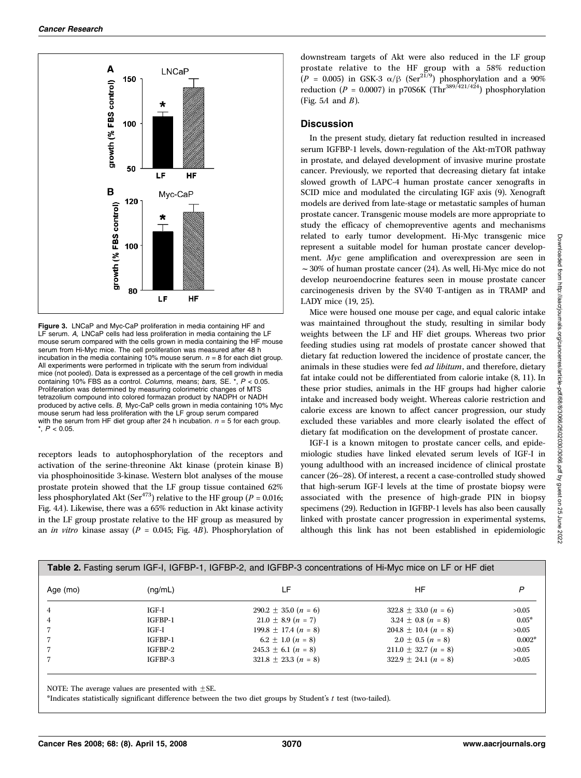

Figure 3. LNCaP and Myc-CaP proliferation in media containing HF and LF serum. A, LNCaP cells had less proliferation in media containing the LF mouse serum compared with the cells grown in media containing the HF mouse serum from Hi-Myc mice. The cell proliferation was measured after 48 h incubation in the media containing 10% mouse serum.  $n = 8$  for each diet group. All experiments were performed in triplicate with the serum from individual mice (not pooled). Data is expressed as a percentage of the cell growth in media containing 10% FBS as a control. Columns, means; bars, SE.  $\check{r}$ ,  $P < 0.05$ . Proliferation was determined by measuring colorimetric changes of MTS tetrazolium compound into colored formazan product by NADPH or NADH produced by active cells. B, Myc-CaP cells grown in media containing 10% Myc mouse serum had less proliferation with the LF group serum compared with the serum from HF diet group after 24 h incubation.  $n = 5$  for each group.  $*, P < 0.05.$ 

receptors leads to autophosphorylation of the receptors and activation of the serine-threonine Akt kinase (protein kinase B) via phosphoinositide 3-kinase. Western blot analyses of the mouse prostate protein showed that the LF group tissue contained 62% less phosphorylated Akt (Ser<sup>473</sup>) relative to the HF group ( $P = 0.016$ ; Fig. 4A). Likewise, there was a 65% reduction in Akt kinase activity in the LF group prostate relative to the HF group as measured by an *in vitro* kinase assay ( $P = 0.045$ ; Fig. 4B). Phosphorylation of

downstream targets of Akt were also reduced in the LF group prostate relative to the HF group with a 58% reduction  $(P = 0.005)$  in GSK-3  $\alpha/\beta$  (Ser<sup>21/9</sup>) phosphorylation and a 90% reduction ( $P = 0.0007$ ) in p70S6K (Thr<sup>389/421/424</sup>) phosphorylation (Fig. 5A and  $B$ ).

### **Discussion**

In the present study, dietary fat reduction resulted in increased serum IGFBP-1 levels, down-regulation of the Akt-mTOR pathway in prostate, and delayed development of invasive murine prostate cancer. Previously, we reported that decreasing dietary fat intake slowed growth of LAPC-4 human prostate cancer xenografts in SCID mice and modulated the circulating IGF axis (9). Xenograft models are derived from late-stage or metastatic samples of human prostate cancer. Transgenic mouse models are more appropriate to study the efficacy of chemopreventive agents and mechanisms related to early tumor development. Hi-Myc transgenic mice represent a suitable model for human prostate cancer development. Myc gene amplification and overexpression are seen in  $\sim$  30% of human prostate cancer (24). As well, Hi-Myc mice do not develop neuroendocrine features seen in mouse prostate cancer carcinogenesis driven by the SV40 T-antigen as in TRAMP and LADY mice (19, 25).

Mice were housed one mouse per cage, and equal caloric intake was maintained throughout the study, resulting in similar body weights between the LF and HF diet groups. Whereas two prior feeding studies using rat models of prostate cancer showed that dietary fat reduction lowered the incidence of prostate cancer, the animals in these studies were fed *ad libitum*, and therefore, dietary fat intake could not be differentiated from calorie intake (8, 11). In these prior studies, animals in the HF groups had higher calorie intake and increased body weight. Whereas calorie restriction and calorie excess are known to affect cancer progression, our study excluded these variables and more clearly isolated the effect of dietary fat modification on the development of prostate cancer.

IGF-I is a known mitogen to prostate cancer cells, and epidemiologic studies have linked elevated serum levels of IGF-I in young adulthood with an increased incidence of clinical prostate cancer (26–28). Of interest, a recent a case-controlled study showed that high-serum IGF-I levels at the time of prostate biopsy were associated with the presence of high-grade PIN in biopsy specimens (29). Reduction in IGFBP-1 levels has also been causally linked with prostate cancer progression in experimental systems, although this link has not been established in epidemiologic

| Table 2. Fasting serum IGF-I, IGFBP-1, IGFBP-2, and IGFBP-3 concentrations of Hi-Myc mice on LF or HF diet |         |                          |                          |          |  |  |
|------------------------------------------------------------------------------------------------------------|---------|--------------------------|--------------------------|----------|--|--|
| Age (mo)                                                                                                   | (nq/mL) | LF                       | ΗF                       | P        |  |  |
| 4                                                                                                          | IGF-I   | $290.2 \pm 35.0 (n = 6)$ | $322.8 \pm 33.0 (n = 6)$ | >0.05    |  |  |
| 4                                                                                                          | IGFBP-1 | $21.0 \pm 8.9$ $(n = 7)$ | $3.24 \pm 0.8$ $(n = 8)$ | $0.05*$  |  |  |
|                                                                                                            | $IGF-I$ | $199.8 \pm 17.4 (n = 8)$ | $204.8 \pm 10.4 (n = 8)$ | >0.05    |  |  |
|                                                                                                            | IGFBP-1 | $6.2 \pm 1.0$ $(n = 8)$  | $2.0 \pm 0.5$ $(n = 8)$  | $0.002*$ |  |  |
|                                                                                                            | IGFBP-2 | $245.3 \pm 6.1 (n = 8)$  | $211.0 \pm 32.7 (n = 8)$ | >0.05    |  |  |
|                                                                                                            | IGFBP-3 | $321.8 \pm 23.3 (n = 8)$ | $322.9 \pm 24.1 (n = 8)$ | >0.05    |  |  |
|                                                                                                            |         |                          |                          |          |  |  |

NOTE: The average values are presented with  $\pm$ SE.

\*Indicates statistically significant difference between the two diet groups by Student's t test (two-tailed).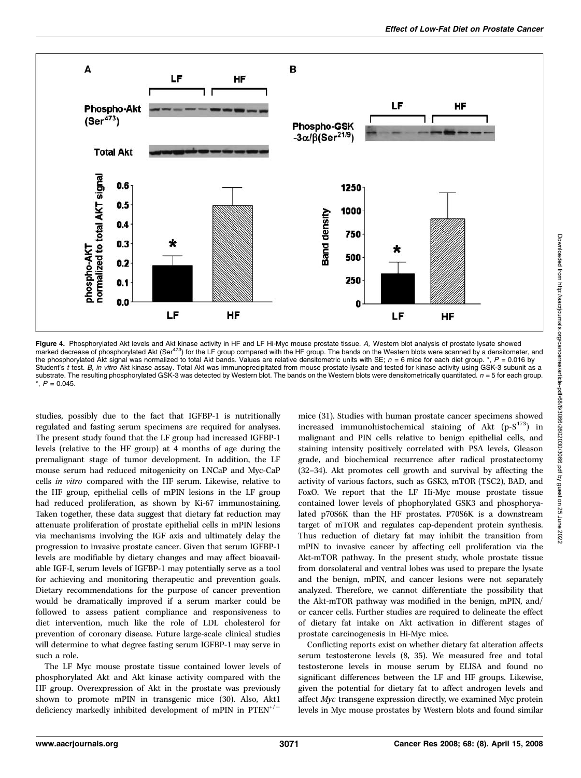

**Figure 4.** Phosphorylated Akt levels and Akt kinase activity in HF and LF Hi-Myc mouse prostate tissue. A, Western blot analysis of prostate lysate showed<br>marked decrease of phosphorylated Akt (Ser<sup>473</sup>) for the LF group the phosphorylated Akt signal was normalized to total Akt bands. Values are relative densitometric units with SE;  $n = 6$  mice for each diet group. \*,  $P = 0.016$  by Student's t test. B, in vitro Akt kinase assay. Total Akt was immunoprecipitated from mouse prostate lysate and tested for kinase activity using GSK-3 subunit as a substrate. The resulting phosphorylated GSK-3 was detected by Western blot. The bands on the Western blots were densitometrically quantitated.  $n = 5$  for each group.  $*$ ,  $P = 0.045$ .

studies, possibly due to the fact that IGFBP-1 is nutritionally regulated and fasting serum specimens are required for analyses. The present study found that the LF group had increased IGFBP-1 levels (relative to the HF group) at 4 months of age during the premalignant stage of tumor development. In addition, the LF mouse serum had reduced mitogenicity on LNCaP and Myc-CaP cells in vitro compared with the HF serum. Likewise, relative to the HF group, epithelial cells of mPIN lesions in the LF group had reduced proliferation, as shown by Ki-67 immunostaining. Taken together, these data suggest that dietary fat reduction may attenuate proliferation of prostate epithelial cells in mPIN lesions via mechanisms involving the IGF axis and ultimately delay the progression to invasive prostate cancer. Given that serum IGFBP-1 levels are modifiable by dietary changes and may affect bioavailable IGF-I, serum levels of IGFBP-1 may potentially serve as a tool for achieving and monitoring therapeutic and prevention goals. Dietary recommendations for the purpose of cancer prevention would be dramatically improved if a serum marker could be followed to assess patient compliance and responsiveness to diet intervention, much like the role of LDL cholesterol for prevention of coronary disease. Future large-scale clinical studies will determine to what degree fasting serum IGFBP-1 may serve in such a role.

The LF Myc mouse prostate tissue contained lower levels of phosphorylated Akt and Akt kinase activity compared with the HF group. Overexpression of Akt in the prostate was previously shown to promote mPIN in transgenic mice (30). Also, Akt1 deficiency markedly inhibited development of mPIN in  $PTEN^{+/-}$ 

mice (31). Studies with human prostate cancer specimens showed increased immunohistochemical staining of Akt  $(p-S^{473})$  in malignant and PIN cells relative to benign epithelial cells, and staining intensity positively correlated with PSA levels, Gleason grade, and biochemical recurrence after radical prostatectomy (32–34). Akt promotes cell growth and survival by affecting the activity of various factors, such as GSK3, mTOR (TSC2), BAD, and FoxO. We report that the LF Hi-Myc mouse prostate tissue contained lower levels of phophorylated GSK3 and phosphoryalated p70S6K than the HF prostates. P70S6K is a downstream target of mTOR and regulates cap-dependent protein synthesis. Thus reduction of dietary fat may inhibit the transition from mPIN to invasive cancer by affecting cell proliferation via the Akt-mTOR pathway. In the present study, whole prostate tissue from dorsolateral and ventral lobes was used to prepare the lysate and the benign, mPIN, and cancer lesions were not separately analyzed. Therefore, we cannot differentiate the possibility that the Akt-mTOR pathway was modified in the benign, mPIN, and/ or cancer cells. Further studies are required to delineate the effect of dietary fat intake on Akt activation in different stages of prostate carcinogenesis in Hi-Myc mice.

Conflicting reports exist on whether dietary fat alteration affects serum testosterone levels (8, 35). We measured free and total testosterone levels in mouse serum by ELISA and found no significant differences between the LF and HF groups. Likewise, given the potential for dietary fat to affect androgen levels and affect Myc transgene expression directly, we examined Myc protein levels in Myc mouse prostates by Western blots and found similar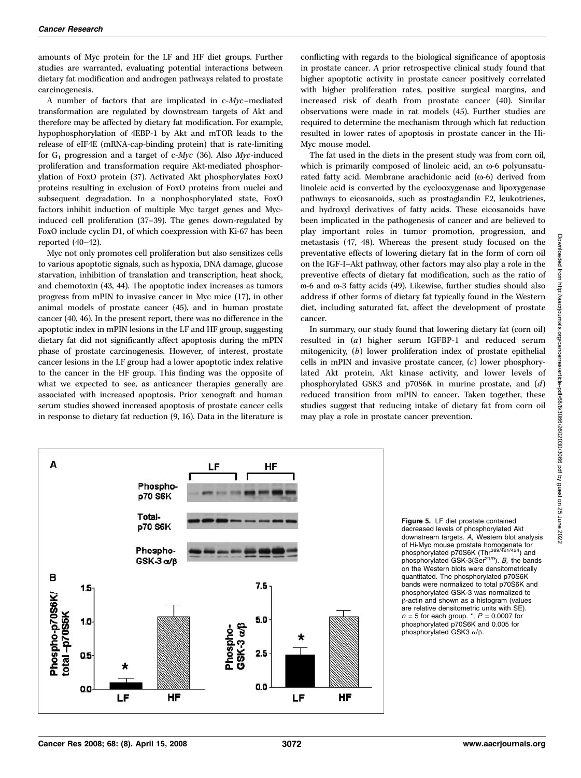amounts of Myc protein for the LF and HF diet groups. Further studies are warranted, evaluating potential interactions between dietary fat modification and androgen pathways related to prostate carcinogenesis.

A number of factors that are implicated in c-Myc–mediated transformation are regulated by downstream targets of Akt and therefore may be affected by dietary fat modification. For example, hypophosphorylation of 4EBP-1 by Akt and mTOR leads to the release of eIF4E (mRNA-cap-binding protein) that is rate-limiting for  $G_1$  progression and a target of c-Myc (36). Also Myc-induced proliferation and transformation require Akt-mediated phosphorylation of FoxO protein (37). Activated Akt phosphorylates FoxO proteins resulting in exclusion of FoxO proteins from nuclei and subsequent degradation. In a nonphosphorylated state, FoxO factors inhibit induction of multiple Myc target genes and Mycinduced cell proliferation (37–39). The genes down-regulated by FoxO include cyclin D1, of which coexpression with Ki-67 has been reported (40–42).

Myc not only promotes cell proliferation but also sensitizes cells to various apoptotic signals, such as hypoxia, DNA damage, glucose starvation, inhibition of translation and transcription, heat shock, and chemotoxin (43, 44). The apoptotic index increases as tumors progress from mPIN to invasive cancer in Myc mice (17), in other animal models of prostate cancer (45), and in human prostate cancer (40, 46). In the present report, there was no difference in the apoptotic index in mPIN lesions in the LF and HF group, suggesting dietary fat did not significantly affect apoptosis during the mPIN phase of prostate carcinogenesis. However, of interest, prostate cancer lesions in the LF group had a lower apoptotic index relative to the cancer in the HF group. This finding was the opposite of what we expected to see, as anticancer therapies generally are associated with increased apoptosis. Prior xenograft and human serum studies showed increased apoptosis of prostate cancer cells in response to dietary fat reduction (9, 16). Data in the literature is

conflicting with regards to the biological significance of apoptosis in prostate cancer. A prior retrospective clinical study found that higher apoptotic activity in prostate cancer positively correlated with higher proliferation rates, positive surgical margins, and increased risk of death from prostate cancer (40). Similar observations were made in rat models (45). Further studies are required to determine the mechanism through which fat reduction resulted in lower rates of apoptosis in prostate cancer in the Hi-Myc mouse model.

The fat used in the diets in the present study was from corn oil, which is primarily composed of linoleic acid, an  $\omega$ -6 polyunsaturated fatty acid. Membrane arachidonic acid  $(\omega - 6)$  derived from linoleic acid is converted by the cyclooxygenase and lipoxygenase pathways to eicosanoids, such as prostaglandin E2, leukotrienes, and hydroxyl derivatives of fatty acids. These eicosanoids have been implicated in the pathogenesis of cancer and are believed to play important roles in tumor promotion, progression, and metastasis (47, 48). Whereas the present study focused on the preventative effects of lowering dietary fat in the form of corn oil on the IGF-I–Akt pathway, other factors may also play a role in the preventive effects of dietary fat modification, such as the ratio of  $\omega$ -6 and  $\omega$ -3 fatty acids (49). Likewise, further studies should also address if other forms of dietary fat typically found in the Western diet, including saturated fat, affect the development of prostate cancer.

In summary, our study found that lowering dietary fat (corn oil) resulted in (a) higher serum IGFBP-1 and reduced serum mitogenicity, (b) lower proliferation index of prostate epithelial cells in mPIN and invasive prostate cancer, (c) lower phosphorylated Akt protein, Akt kinase activity, and lower levels of phosphorylated GSK3 and p70S6K in murine prostate, and (d) reduced transition from mPIN to cancer. Taken together, these studies suggest that reducing intake of dietary fat from corn oil may play a role in prostate cancer prevention.



Figure 5. LF diet prostate contained decreased levels of phosphorylated Akt downstream targets. A, Western blot analysis of Hi-Myc mouse prostate homogenate for<br>phosphorylated p70S6K (Thr<sup>389/421/424</sup>) and phosphorylated GSK-3( $\text{Ser}^{21/9}$ ). B, the bands on the Western blots were densitometrically quantitated. The phosphorylated p70S6K bands were normalized to total p70S6K and phosphorylated GSK-3 was normalized to B-actin and shown as a histogram (values are relative densitometric units with SE).  $n = 5$  for each group.  $\ast$ ,  $P = 0.0007$  for phosphorylated p70S6K and 0.005 for phosphorylated GSK3  $\alpha$ / $\beta$